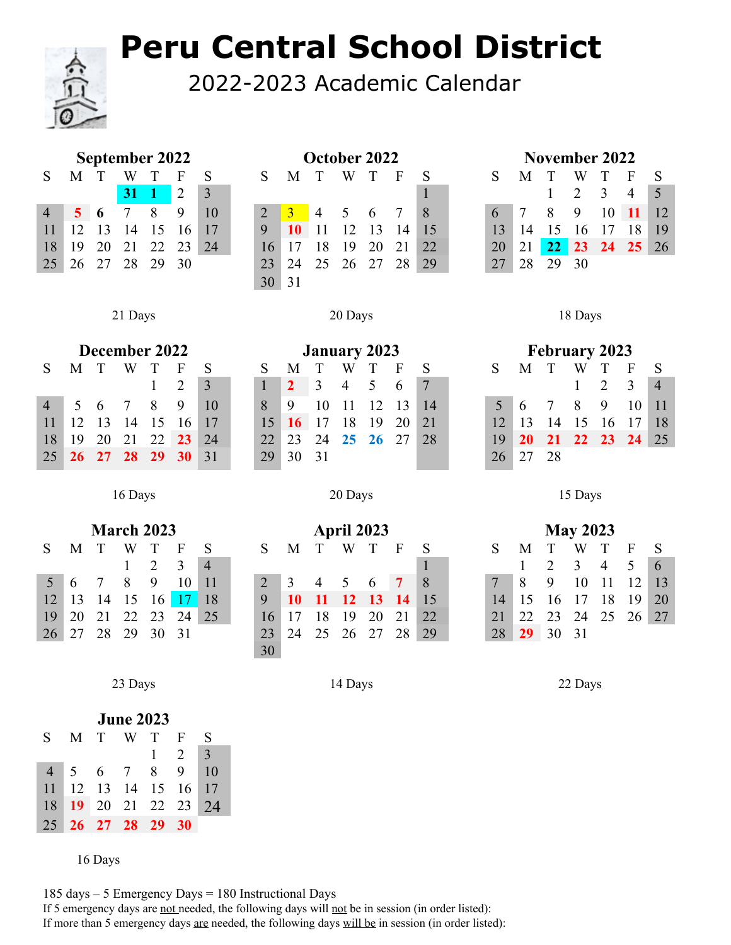## **Peru Central School District**

2022-2023 Academic Calendar

| <b>September 2022</b> |                |             |              |             |    |    |  |  |  |
|-----------------------|----------------|-------------|--------------|-------------|----|----|--|--|--|
| S.                    | M              | T           |              | T           | F  | S  |  |  |  |
|                       |                |             | $31 \quad 1$ |             | 2  | 3  |  |  |  |
|                       | 5 <sup>1</sup> | 6           |              | 8           | 9  | 10 |  |  |  |
| 11                    | 12             |             |              | 13 14 15 16 |    | 17 |  |  |  |
| 18                    | 19             | 20          |              | 21 22 23    |    | 24 |  |  |  |
| 25                    |                | 26 27 28 29 |              |             | 30 |    |  |  |  |
|                       |                |             |              |             |    |    |  |  |  |

|         | September 2022    |  |                 |    |      |                |                 |           | October 2022 |       |        |              |    | November 2022 |                 |                 |                |     |                   |                |               |
|---------|-------------------|--|-----------------|----|------|----------------|-----------------|-----------|--------------|-------|--------|--------------|----|---------------|-----------------|-----------------|----------------|-----|-------------------|----------------|---------------|
| $S_{-}$ | M                 |  | W               |    | F    |                | S.              | M         | $\mathbf{T}$ | W     | $\top$ | $\mathbf{F}$ |    |               |                 | M               | T              | W   |                   | F              |               |
|         |                   |  | $31 \quad 1$    |    | 2    | $\overline{3}$ |                 |           |              |       |        |              |    |               |                 |                 |                | 2   | 3                 | $\overline{4}$ |               |
| 4       | $\sqrt{5}$ 6      |  | $7\overline{ }$ | 8  | - 9  | 10             |                 | - 3-      | $-4$ 5 6 7   |       |        |              | 8  |               | $6-1$           | $7\phantom{.0}$ | 8 <sup>8</sup> | - 9 | $10 \quad 11$     |                | <sup>12</sup> |
| 11      | 12 13             |  | 14              | 15 | - 16 | 17             | 9               | <b>10</b> | $\vert$ 11   | 12 13 |        | 14 15        |    |               | 13              |                 | 14 15          | 16  | 17                | 18             | 19            |
| 18      |                   |  | 19 20 21 22 23  |    |      | 24             | 16              | 17        | - 18         | - 19  | 20 21  |              | 22 |               | 20              |                 |                |     | 21 22 23 24 25 26 |                |               |
|         | 25 26 27 28 29 30 |  |                 |    |      |                | 23              | 24        | 25 26 27 28  |       |        |              | 29 |               | 27 <sup>1</sup> |                 | 28 29 30       |     |                   |                |               |
|         |                   |  |                 |    |      |                | 30 <sup>1</sup> | 31        |              |       |        |              |    |               |                 |                 |                |     |                   |                |               |

|         | September 2022    |               |          |                |       | October 2022    |                                                 |    |    |       |    | November 2022 |                |                 |      |               |                        |  |  |  |
|---------|-------------------|---------------|----------|----------------|-------|-----------------|-------------------------------------------------|----|----|-------|----|---------------|----------------|-----------------|------|---------------|------------------------|--|--|--|
| 4 T     | W                 |               |          |                | S     | M               |                                                 | W  |    | F     |    |               | M              |                 | W    |               | $\mathbf{F}$           |  |  |  |
|         | $31 \quad 1$      |               |          | $\overline{3}$ |       |                 |                                                 |    |    |       |    |               |                |                 |      | $\mathcal{R}$ |                        |  |  |  |
|         | $5\quad 6\quad 7$ | $\mathcal{R}$ | 9        | 10             |       | $\sim$ 3 $\sim$ | $\begin{array}{cccc} 4 & 5 & 6 & 7 \end{array}$ |    |    |       | 8  | 6             | $\overline{7}$ | 8               | - 9  |               | $10 \quad 11 \quad 12$ |  |  |  |
| 2 13 14 |                   | 15            |          |                | 9     | $\overline{10}$ |                                                 | 12 |    | 13 14 | 15 |               | 14             |                 | 16   | 17            | 18 19                  |  |  |  |
| 9 20 21 |                   |               | 22 23 24 |                |       |                 | 18                                              | -9 | 20 |       | 22 | 20            | 21             | 22 <sub>2</sub> |      | 23 24 25 26   |                        |  |  |  |
| 6 27    | 28                | 29            | 30       |                | $23-$ |                 | 25                                              | 26 | 27 |       | 29 |               |                | 29              | - 30 |               |                        |  |  |  |

|                 |               |                | December 2022 |                 |     |    |    |    |                |                | <b>January 2023</b> |     |      |  |    |    |    |   | <b>February 2023</b> |   |                        |
|-----------------|---------------|----------------|---------------|-----------------|-----|----|----|----|----------------|----------------|---------------------|-----|------|--|----|----|----|---|----------------------|---|------------------------|
| S.              | M             |                |               |                 | F   |    |    | M  |                | W              |                     |     |      |  |    | M  |    | W |                      |   |                        |
|                 |               |                |               |                 |     |    |    |    | $\overline{3}$ | $\overline{4}$ | $5^{\circ}$         | - 6 | $-7$ |  |    |    |    |   |                      |   | - 3                    |
| 4               | $\mathcal{D}$ | $\mathfrak{h}$ |               | 8               | -9  | 10 | 8  | -9 |                |                |                     |     | 14   |  |    | -6 |    | 8 |                      | 9 |                        |
| 11              | 12            |                | 14            |                 | 16. | 17 |    |    |                | 18             | 19                  | 20  | 21   |  |    |    | 14 |   |                      |   |                        |
| 18              | 19            | 20             |               | 22 <sub>1</sub> | 23  | 24 |    | 23 | 24             | 25             | 26                  |     | 28   |  | 19 |    |    |   |                      |   | $22 \quad 23 \quad 24$ |
| 25 <sub>1</sub> | 26            |                |               |                 |     | 31 | 29 |    |                |                |                     |     |      |  | 26 |    |    |   |                      |   |                        |

|                 | <b>February 2023</b> |                   |   |             |              |     |  |  |  |  |
|-----------------|----------------------|-------------------|---|-------------|--------------|-----|--|--|--|--|
| S.              | M T                  |                   | W | $\top$      | $\mathbf{F}$ | S   |  |  |  |  |
|                 |                      |                   |   | $1 \t2 \t3$ |              |     |  |  |  |  |
| 5 <sup>7</sup>  | 6 7 8 9 10           |                   |   |             |              | -11 |  |  |  |  |
| 12 <sup>7</sup> | 13 14 15 16 17 18    |                   |   |             |              |     |  |  |  |  |
| 19              |                      | 20 21 22 23 24 25 |   |             |              |     |  |  |  |  |
| 26              | $27 \quad 28$        |                   |   |             |              |     |  |  |  |  |

Days 20 Days 15 Days

|           |              |     | <b>March 2023</b> |                |              |                |    |     | <b>April 2023</b> |     |    |                 |           |    |             | <b>May 2023</b> |                |                |                 |             |
|-----------|--------------|-----|-------------------|----------------|--------------|----------------|----|-----|-------------------|-----|----|-----------------|-----------|----|-------------|-----------------|----------------|----------------|-----------------|-------------|
| S.        | M            |     | W                 |                | F            |                |    | M   | $\top$            | W   |    | F               |           |    | М           |                 | W              |                | F               | - S         |
|           |              |     |                   |                | $\mathbf{R}$ | $\overline{4}$ |    |     |                   |     |    |                 |           |    | $1 \quad 2$ |                 | $\overline{3}$ | $\overline{4}$ | $\sim$ 5        | $\mathbf b$ |
| $5\quad6$ |              |     | 8                 | $\overline{q}$ | 10           | 4 T            |    | 3   | $\overline{4}$    | 5 6 |    | $\sim$ 7 $\sim$ | $\vert 8$ |    | -8          | 9               | 10             |                | 12 <sup>1</sup> |             |
|           | $12 \mid 13$ | -14 | 15 16 17          |                |              | 18             | 9  | -10 | - 11              |     |    | 12 13 14 15     |           | 4  |             | 16.             |                | 18             | 19              | 20          |
|           | 19 20        | 21  |                   | 22 23 24       |              | 25             |    |     |                   | 19  | 20 | 21              | 22        | 21 | 22          | 23 24 25 26 27  |                |                |                 |             |
|           | 26 27        | 28  | 29                | 30             | 31           |                | 23 |     |                   | 26  |    | 28              | 29        | 28 | 29          | 30              |                |                |                 |             |

Days 20 Days 18 Days

| December 2022 |     |             |   |                |                |              |  |  |  |  |
|---------------|-----|-------------|---|----------------|----------------|--------------|--|--|--|--|
| S             | M T |             | W | $\top$         | F              | S            |  |  |  |  |
|               |     |             |   | 1              | $\overline{2}$ | $\mathbf{R}$ |  |  |  |  |
| 4             |     | 5 6 7       |   | 8.             | 9              | 10           |  |  |  |  |
| 11            |     |             |   | 12 13 14 15 16 |                | 17           |  |  |  |  |
| 18            |     | 19 20 21 22 |   |                | -23            | 24           |  |  |  |  |
| 25            |     |             |   | 26 27 28 29    | -30            | 31           |  |  |  |  |

|                 |           |    |    | <b>March 2023</b> |    |                |   |             |              |                |     | April 2023 |                   |    |       |    |       |                | <b>May 2023</b>   |                                   |  |
|-----------------|-----------|----|----|-------------------|----|----------------|---|-------------|--------------|----------------|-----|------------|-------------------|----|-------|----|-------|----------------|-------------------|-----------------------------------|--|
|                 | M         |    | W  |                   | н  |                |   | $S_{\perp}$ | M            |                | W T |            | F                 |    | S.    | M  |       | W              |                   | $\overline{\mathbf{S}}$<br>E      |  |
|                 |           |    |    |                   | 3  | $\overline{4}$ |   |             |              |                |     |            |                   |    |       |    |       | $\overline{3}$ | $\overline{4}$    | $6\overline{6}$<br>$\overline{5}$ |  |
| 5 <sup>5</sup>  | 6         |    | 8  | -9                | 10 | -11            | 2 |             | 3            | $\overline{4}$ | 5 6 |            | $\overline{7}$    | 8  | 7     | -8 | 9     | 10             | -11               | $12 \quad 13$                     |  |
|                 | $12 \ 13$ |    |    | 14 15 16 17 18    |    |                | 9 |             | $10^{\circ}$ |                |     |            | 11 12 13 14 15    |    | 14 15 |    | 16    | 17             | 18                | $19 \mid 20$                      |  |
| 19 <sup>°</sup> | 20        |    |    | 21 22 23 24       |    | 25             |   | 16 17       |              | 18             | 19  | 20         | 21                | 22 | 21    |    |       |                | 22 23 24 25 26 27 |                                   |  |
| 26 27           |           | 28 | 29 | 30 31             |    |                |   |             |              |                |     |            | 23 24 25 26 27 28 | 29 | 28    | 29 | 30 31 |                |                   |                                   |  |

Days 14 Days 22 Days

| <b>June 2023</b> |                |        |                 |          |                             |              |  |  |  |
|------------------|----------------|--------|-----------------|----------|-----------------------------|--------------|--|--|--|
| S.               | M              | $\top$ |                 | T        | F                           | S            |  |  |  |
|                  |                |        |                 | 1        | $\mathcal{D}_{\mathcal{L}}$ | $\mathbf{3}$ |  |  |  |
| $\overline{4}$   | 5 <sup>1</sup> | 6      | $7\phantom{.0}$ | 8.       | 9                           | 10           |  |  |  |
| 11               | 12             |        |                 | 13 14 15 | 16                          | -17          |  |  |  |
| 18               | 19             | 20     |                 | 21 22 23 |                             | 24           |  |  |  |
| 25               | 26             | 27 28  |                 | 29       | 30                          |              |  |  |  |

Days

 days – 5 Emergency Days = 180 Instructional Days If 5 emergency days are not needed, the following days will not be in session (in order listed): If more than 5 emergency days are needed, the following days will be in session (in order listed):